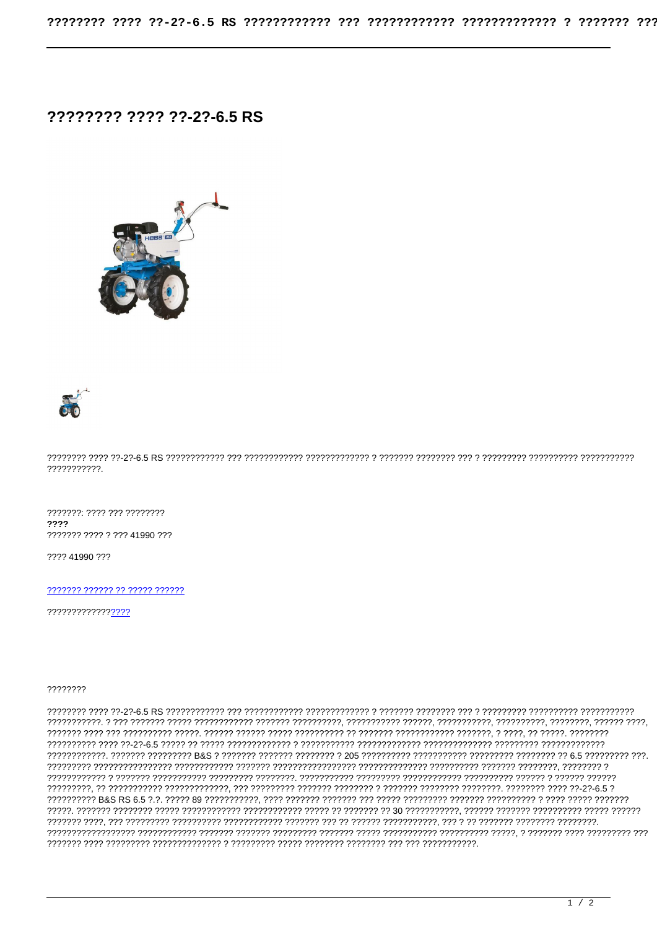## 22222222 2222 22-22-6.5 RS





???????????.

???????: ???? ??? ???????? 2222 ??????? ???? ? ??? 41990 ???

???? 41990 ???

77777777777777777

## 22222222